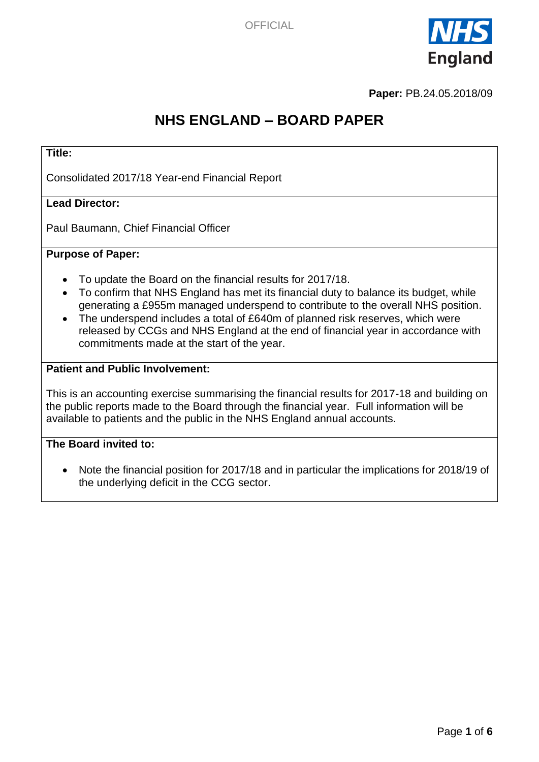

**Paper:** PB.24.05.2018/09

# **NHS ENGLAND – BOARD PAPER**

### **Title:**

Consolidated 2017/18 Year-end Financial Report

### **Lead Director:**

Paul Baumann, Chief Financial Officer

#### **Purpose of Paper:**

- To update the Board on the financial results for 2017/18.
- To confirm that NHS England has met its financial duty to balance its budget, while generating a £955m managed underspend to contribute to the overall NHS position.
- The underspend includes a total of £640m of planned risk reserves, which were released by CCGs and NHS England at the end of financial year in accordance with commitments made at the start of the year.

### **Patient and Public Involvement:**

This is an accounting exercise summarising the financial results for 2017-18 and building on the public reports made to the Board through the financial year. Full information will be available to patients and the public in the NHS England annual accounts.

#### **The Board invited to:**

• Note the financial position for 2017/18 and in particular the implications for 2018/19 of the underlying deficit in the CCG sector.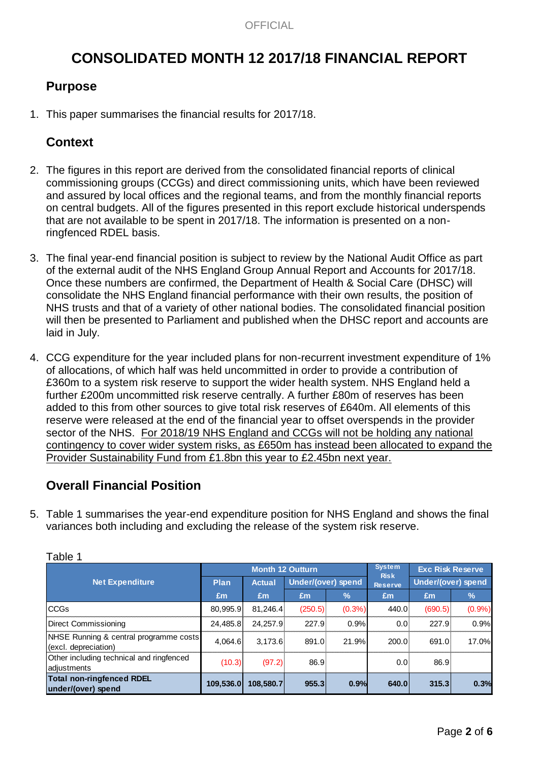# **CONSOLIDATED MONTH 12 2017/18 FINANCIAL REPORT**

# **Purpose**

1. This paper summarises the financial results for 2017/18.

## **Context**

- 2. The figures in this report are derived from the consolidated financial reports of clinical commissioning groups (CCGs) and direct commissioning units, which have been reviewed and assured by local offices and the regional teams, and from the monthly financial reports on central budgets. All of the figures presented in this report exclude historical underspends that are not available to be spent in 2017/18. The information is presented on a nonringfenced RDEL basis.
- 3. The final year-end financial position is subject to review by the National Audit Office as part of the external audit of the NHS England Group Annual Report and Accounts for 2017/18. Once these numbers are confirmed, the Department of Health & Social Care (DHSC) will consolidate the NHS England financial performance with their own results, the position of NHS trusts and that of a variety of other national bodies. The consolidated financial position will then be presented to Parliament and published when the DHSC report and accounts are laid in July.
- 4. CCG expenditure for the year included plans for non-recurrent investment expenditure of 1% of allocations, of which half was held uncommitted in order to provide a contribution of £360m to a system risk reserve to support the wider health system. NHS England held a further £200m uncommitted risk reserve centrally. A further £80m of reserves has been added to this from other sources to give total risk reserves of £640m. All elements of this reserve were released at the end of the financial year to offset overspends in the provider sector of the NHS. For 2018/19 NHS England and CCGs will not be holding any national contingency to cover wider system risks, as £650m has instead been allocated to expand the Provider Sustainability Fund from £1.8bn this year to £2.45bn next year.

### **Overall Financial Position**

5. Table 1 summarises the year-end expenditure position for NHS England and shows the final variances both including and excluding the release of the system risk reserve.

|                                                                |             | <b>Month 12 Outturn</b> |                    | <b>System</b> | <b>Exc Risk Reserve</b>       |                    |       |
|----------------------------------------------------------------|-------------|-------------------------|--------------------|---------------|-------------------------------|--------------------|-------|
| <b>Net Expenditure</b>                                         | <b>Plan</b> | <b>Actual</b>           | Under/(over) spend |               | <b>Risk</b><br><b>Reserve</b> | Under/(over) spend |       |
|                                                                | £m          | £m                      | £m                 | $\frac{9}{6}$ | Em                            | Em                 | $\%$  |
| <b>CCGs</b>                                                    | 80,995.9    | 81,246.4                | (250.5)            | $(0.3\%)$     | 440.0                         | (690.5)            | (0.9% |
| <b>Direct Commissioning</b>                                    | 24.485.8    | 24.257.9                | 227.9              | 0.9%          | 0.0                           | 227.9              | 0.9%  |
| NHSE Running & central programme costs<br>(excl. depreciation) | 4.064.6     | 3.173.6                 | 891.0              | 21.9%         | 200.0                         | 691.0              | 17.0% |
| Other including technical and ringfenced<br>adjustments        | (10.3)      | (97.2)                  | 86.9               |               | 0.0                           | 86.9               |       |
| <b>Total non-ringfenced RDEL</b><br>under/(over) spend         | 109,536.0   | 108,580.7               | 955.3              | 0.9%          | 640.0                         | 315.3              | 0.3%  |

#### Table 1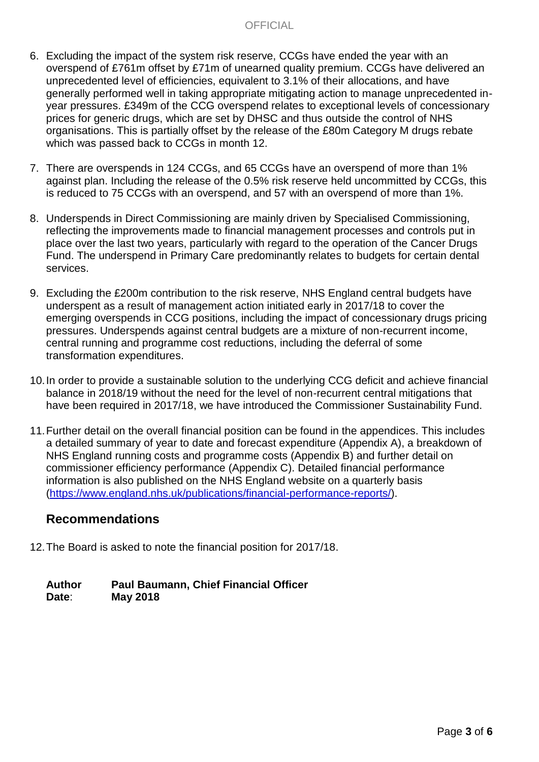- 6. Excluding the impact of the system risk reserve, CCGs have ended the year with an overspend of £761m offset by £71m of unearned quality premium. CCGs have delivered an unprecedented level of efficiencies, equivalent to 3.1% of their allocations, and have generally performed well in taking appropriate mitigating action to manage unprecedented inyear pressures. £349m of the CCG overspend relates to exceptional levels of concessionary prices for generic drugs, which are set by DHSC and thus outside the control of NHS organisations. This is partially offset by the release of the £80m Category M drugs rebate which was passed back to CCGs in month 12.
- 7. There are overspends in 124 CCGs, and 65 CCGs have an overspend of more than 1% against plan. Including the release of the 0.5% risk reserve held uncommitted by CCGs, this is reduced to 75 CCGs with an overspend, and 57 with an overspend of more than 1%.
- 8. Underspends in Direct Commissioning are mainly driven by Specialised Commissioning, reflecting the improvements made to financial management processes and controls put in place over the last two years, particularly with regard to the operation of the Cancer Drugs Fund. The underspend in Primary Care predominantly relates to budgets for certain dental services.
- 9. Excluding the £200m contribution to the risk reserve, NHS England central budgets have underspent as a result of management action initiated early in 2017/18 to cover the emerging overspends in CCG positions, including the impact of concessionary drugs pricing pressures. Underspends against central budgets are a mixture of non-recurrent income, central running and programme cost reductions, including the deferral of some transformation expenditures.
- 10.In order to provide a sustainable solution to the underlying CCG deficit and achieve financial balance in 2018/19 without the need for the level of non-recurrent central mitigations that have been required in 2017/18, we have introduced the Commissioner Sustainability Fund.
- 11.Further detail on the overall financial position can be found in the appendices. This includes a detailed summary of year to date and forecast expenditure (Appendix A), a breakdown of NHS England running costs and programme costs (Appendix B) and further detail on commissioner efficiency performance (Appendix C). Detailed financial performance information is also published on the NHS England website on a quarterly basis [\(https://www.england.nhs.uk/publications/financial-performance-reports/\)](https://www.england.nhs.uk/publications/financial-performance-reports/).

### **Recommendations**

12.The Board is asked to note the financial position for 2017/18.

**Author Paul Baumann, Chief Financial Officer Date**: **May 2018**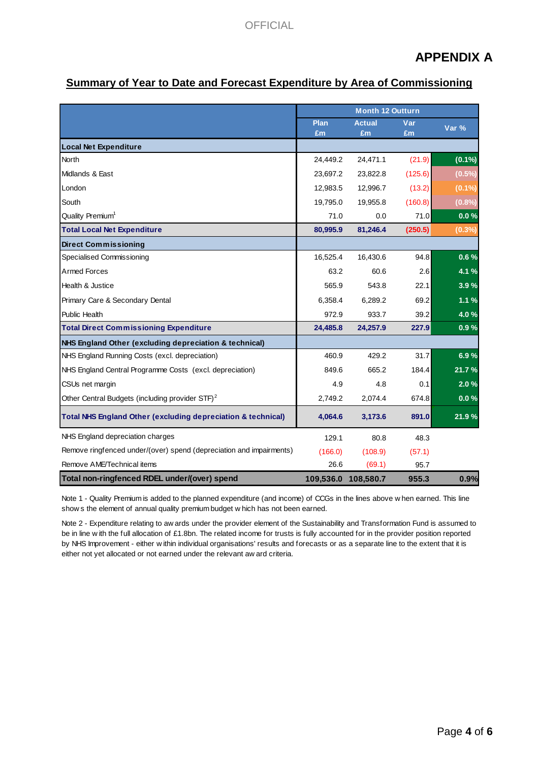# **APPENDIX A**

### **Summary of Year to Date and Forecast Expenditure by Area of Commissioning**

|                                                                                                                                                                                                              | <b>Month 12 Outturn</b> |               |         |           |  |
|--------------------------------------------------------------------------------------------------------------------------------------------------------------------------------------------------------------|-------------------------|---------------|---------|-----------|--|
|                                                                                                                                                                                                              | <b>Plan</b>             | <b>Actual</b> | Var     | Var %     |  |
|                                                                                                                                                                                                              | £m                      | £m            | £m      |           |  |
| <b>Local Net Expenditure</b>                                                                                                                                                                                 |                         |               |         |           |  |
| North                                                                                                                                                                                                        | 24,449.2                | 24,471.1      | (21.9)  | $(0.1\%)$ |  |
| Midlands & East                                                                                                                                                                                              | 23,697.2                | 23,822.8      | (125.6) | $(0.5\%)$ |  |
| London                                                                                                                                                                                                       | 12,983.5                | 12,996.7      | (13.2)  | $(0.1\%)$ |  |
| South                                                                                                                                                                                                        | 19,795.0                | 19,955.8      | (160.8) | (0.8%     |  |
| Quality Premium <sup>1</sup>                                                                                                                                                                                 | 71.0                    | 0.0           | 71.0    | 0.0%      |  |
| <b>Total Local Net Expenditure</b>                                                                                                                                                                           | 80,995.9                | 81,246.4      | (250.5) | (0.3%     |  |
| <b>Direct Commissioning</b>                                                                                                                                                                                  |                         |               |         |           |  |
| Specialised Commissioning                                                                                                                                                                                    | 16,525.4                | 16,430.6      | 94.8    | 0.6%      |  |
| <b>Armed Forces</b>                                                                                                                                                                                          | 63.2                    | 60.6          | 2.6     | 4.1 %     |  |
| Health & Justice                                                                                                                                                                                             | 565.9                   | 543.8         | 22.1    | 3.9%      |  |
| Primary Care & Secondary Dental                                                                                                                                                                              | 6,358.4                 | 6,289.2       | 69.2    | 1.1%      |  |
| <b>Public Health</b>                                                                                                                                                                                         | 972.9                   | 933.7         | 39.2    | 4.0%      |  |
| <b>Total Direct Commissioning Expenditure</b>                                                                                                                                                                | 24,485.8                | 24,257.9      | 227.9   | 0.9%      |  |
| NHS England Other (excluding depreciation & technical)                                                                                                                                                       |                         |               |         |           |  |
| NHS England Running Costs (excl. depreciation)                                                                                                                                                               | 460.9                   | 429.2         | 31.7    | 6.9%      |  |
| NHS England Central Programme Costs (excl. depreciation)                                                                                                                                                     | 849.6                   | 665.2         | 184.4   | 21.7%     |  |
| CSUs net margin                                                                                                                                                                                              | 4.9                     | 4.8           | 0.1     | 2.0%      |  |
| Other Central Budgets (including provider STF) <sup>2</sup>                                                                                                                                                  | 2,749.2                 | 2,074.4       | 674.8   | 0.0%      |  |
| <b>Total NHS England Other (excluding depreciation &amp; technical)</b>                                                                                                                                      | 4,064.6                 | 3,173.6       | 891.0   | 21.9%     |  |
| NHS England depreciation charges                                                                                                                                                                             | 129.1                   | 80.8          | 48.3    |           |  |
| Remove ringfenced under/(over) spend (depreciation and impairments)                                                                                                                                          | (166.0)                 | (108.9)       | (57.1)  |           |  |
| Remove AME/Technical items                                                                                                                                                                                   | 26.6                    | (69.1)        | 95.7    |           |  |
| Total non-ringfenced RDEL under/(over) spend                                                                                                                                                                 | 109,536.0               | 108,580.7     | 955.3   | 0.9%      |  |
| Note 1 - Quality Premium is added to the planned expenditure (and income) of CCGs in the lines above w hen earned. This line<br>chows the element of annual quality premium budget which has not been earned |                         |               |         |           |  |

Note 1 - Quality Premium is added to the planned expenditure (and income) of CCGs in the lines above when earned. This line<br>shows the element of annual quality premium budget which has not been earned.<br>Note 2 - Expenditure **Total non-ringfenced RDEL under/(over) spend** 109,5<br>Note 1 - Quality Premium is added to the planned expenditure (and income) of CCC<br>show s the element of annual quality premium budget w hich has not been earned.

Note 1 - Quality Premium is added to the planned expenditure (and income) of CCGs in the lines above w hen earned. This line<br>show s the element of annual quality premium budget w hich has not been earned.<br>Note 2 - Expendit shows the element or annual quality premum budget which has not been earned.<br>Note 2 - Expenditure relating to aw ards under the provider element of the Sustainability and Transformation Fund is assumed<br>be in line w ith the Note 2 - Expenditure relating to aw ards under the provider element of the in line with the full allocation of £1.8bn. The related income for trusts by NHS Improvement - either within individual organisations' results and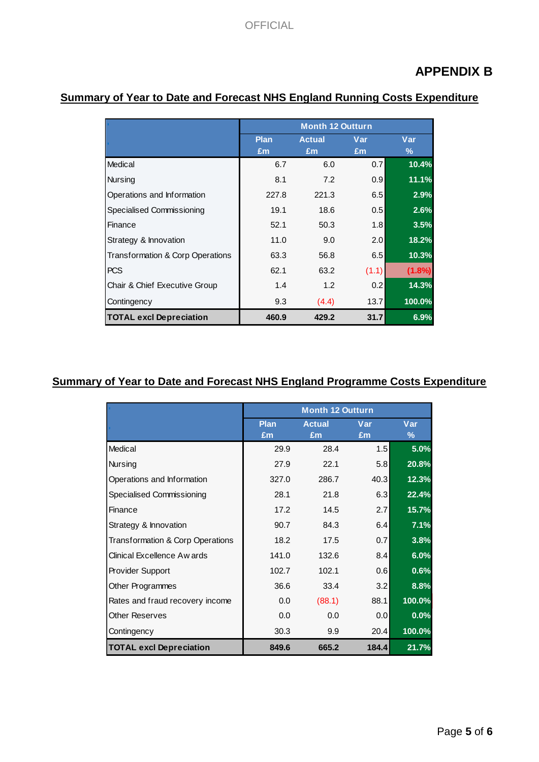# **APPENDIX B**

|                                  | <b>Month 12 Outturn</b> |                     |           |           |  |  |  |
|----------------------------------|-------------------------|---------------------|-----------|-----------|--|--|--|
|                                  | <b>Plan</b><br>£m       | <b>Actual</b><br>£m | Var<br>£m | Var<br>%  |  |  |  |
| Medical                          | 6.7                     | 6.0                 | 0.7       | 10.4%     |  |  |  |
| Nursing                          | 8.1                     | 7.2                 | 0.9       | 11.1%     |  |  |  |
| Operations and Information       | 227.8                   | 221.3               | 6.5       | 2.9%      |  |  |  |
| Specialised Commissioning        | 19.1                    | 18.6                | 0.5       | 2.6%      |  |  |  |
| Finance                          | 52.1                    | 50.3                | 1.8       | 3.5%      |  |  |  |
| Strategy & Innovation            | 11.0                    | 9.0                 | 2.0       | 18.2%     |  |  |  |
| Transformation & Corp Operations | 63.3                    | 56.8                | 6.5       | 10.3%     |  |  |  |
| <b>PCS</b>                       | 62.1                    | 63.2                | (1.1)     | $(1.8\%)$ |  |  |  |
| Chair & Chief Executive Group    | 1.4                     | 1.2                 | 0.2       | 14.3%     |  |  |  |
| Contingency                      | 9.3                     | (4.4)               | 13.7      | 100.0%    |  |  |  |
| <b>TOTAL excl Depreciation</b>   | 460.9                   | 429.2               | 31.7      | 6.9%      |  |  |  |

### **Summary of Year to Date and Forecast NHS England Running Costs Expenditure**

### **Summary of Year to Date and Forecast NHS England Programme Costs Expenditure**

|                                  | <b>Month 12 Outturn</b> |               |       |        |  |  |  |  |
|----------------------------------|-------------------------|---------------|-------|--------|--|--|--|--|
|                                  | Plan                    | <b>Actual</b> | Var   | Var    |  |  |  |  |
|                                  | £m                      | £m            | £m    | %      |  |  |  |  |
| Medical                          | 29.9                    | 28.4          | 1.5   | 5.0%   |  |  |  |  |
| Nursing                          | 27.9                    | 22.1          | 5.8   | 20.8%  |  |  |  |  |
| Operations and Information       | 327.0                   | 286.7         | 40.3  | 12.3%  |  |  |  |  |
| Specialised Commissioning        | 28.1                    | 21.8          | 6.3   | 22.4%  |  |  |  |  |
| Finance                          | 17.2                    | 14.5          | 2.7   | 15.7%  |  |  |  |  |
| Strategy & Innovation            | 90.7                    | 84.3          | 6.4   | 7.1%   |  |  |  |  |
| Transformation & Corp Operations | 18.2                    | 17.5          | 0.7   | 3.8%   |  |  |  |  |
| Clinical Excellence Aw ards      | 141.0                   | 132.6         | 8.4   | 6.0%   |  |  |  |  |
| Provider Support                 | 102.7                   | 102.1         | 0.6   | 0.6%   |  |  |  |  |
| Other Programmes                 | 36.6                    | 33.4          | 3.2   | 8.8%   |  |  |  |  |
| Rates and fraud recovery income  | 0.0                     | (88.1)        | 88.1  | 100.0% |  |  |  |  |
| <b>Other Reserves</b>            | 0.0                     | 0.0           | 0.0   | 0.0%   |  |  |  |  |
| Contingency                      | 30.3                    | 9.9           | 20.4  | 100.0% |  |  |  |  |
| <b>TOTAL excl Depreciation</b>   | 849.6                   | 665.2         | 184.4 | 21.7%  |  |  |  |  |